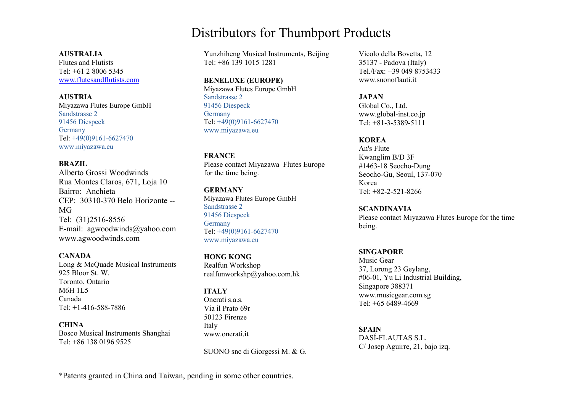## Distributors for Thumbport Products

AUSTRALIA

Flutes and Flutists Tel: +61 2 8006 5345 www.flutesandflutists.com

AUSTRIA Miyazawa Flutes Europe GmbH Sandstrasse 2 91456 Diespeck Germany Tel: +49(0)9161-6627470 www.miyazawa.eu

### BRAZIL

Alberto Grossi Woodwinds Rua Montes Claros, 671, Loja 10 Bairro: Anchieta CEP: 30310-370 Belo Horizonte -- MG Tel: (31)2516-8556 E-mail: agwoodwinds@yahoo.com www.agwoodwinds.com

CANADA Long & McQuade Musical Instruments 925 Bloor St. W. Toronto, Ontario M6H 1L5 Canada Tel: +1-416-588-7886

**CHINA** Bosco Musical Instruments Shanghai Tel: +86 138 0196 9525

Yunzhiheng Musical Instruments, Beijing Tel: +86 139 1015 1281

BENELUXE (EUROPE)

Miyazawa Flutes Europe GmbH Sandstrasse 2 91456 Diespeck Germany Tel: +49(0)9161-6627470 www.miyazawa.eu

**FRANCE** Please contact Miyazawa Flutes Europe for the time being.

**GERMANY** Miyazawa Flutes Europe GmbH Sandstrasse 2 91456 Diespeck Germany Tel: +49(0)9161-6627470 www.miyazawa.eu

HONG KONG Realfun Workshop realfunworkshp@yahoo.com.hk

**ITALY** Onerati s.a.s. Via il Prato 69r 50123 Firenze Italy www.onerati.it

SUONO snc di Giorgessi M. & G.

Vicolo della Bovetta, 12 35137 - Padova (Italy) Tel./Fax: +39 049 8753433 www.suonoflauti.it

**JAPAN** Global Co., Ltd. www.global-inst.co.jp Tel: +81-3-5389-5111

## **KOREA**

An's Flute Kwanglim B/D 3F #1463-18 Seocho-Dung Seocho-Gu, Seoul, 137-070 Korea Tel: +82-2-521-8266

SCANDINAVIA Please contact Miyazawa Flutes Europe for the time being.

### **SINGAPORE**

Music Gear 37, Lorong 23 Geylang, #06-01, Yu Li Industrial Building, Singapore 388371 www.musicgear.com.sg Tel: +65 6489-4669

SPAIN DASÍ-FLAUTAS S.L. C/ Josep Aguirre, 21, bajo izq.

\*Patents granted in China and Taiwan, pending in some other countries.